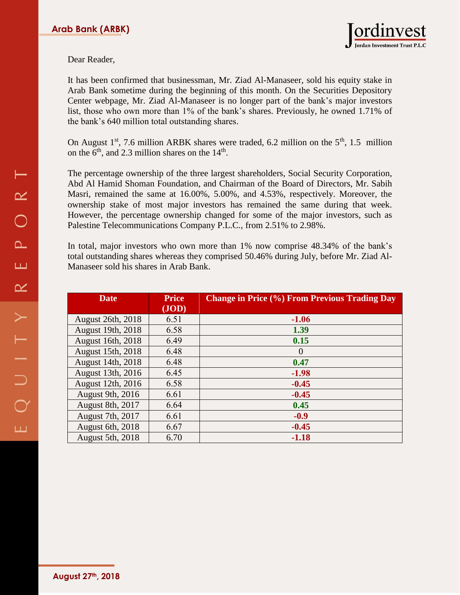

## Dear Reader,

It has been confirmed that businessman, Mr. Ziad Al-Manaseer, sold his equity stake in Arab Bank sometime during the beginning of this month. On the Securities Depository Center webpage, Mr. Ziad Al-Manaseer is no longer part of the bank's major investors list, those who own more than 1% of the bank's shares. Previously, he owned 1.71% of the bank's 640 million total outstanding shares.

On August  $1<sup>st</sup>$ , 7.6 million ARBK shares were traded, 6.2 million on the  $5<sup>th</sup>$ , 1.5 million on the  $6<sup>th</sup>$ , and 2.3 million shares on the  $14<sup>th</sup>$ .

The percentage ownership of the three largest shareholders, Social Security Corporation, Abd Al Hamid Shoman Foundation, and Chairman of the Board of Directors, Mr. Sabih Masri, remained the same at 16.00%, 5.00%, and 4.53%, respectively. Moreover, the ownership stake of most major investors has remained the same during that week. However, the percentage ownership changed for some of the major investors, such as Palestine Telecommunications Company P.L.C., from 2.51% to 2.98%.

In total, major investors who own more than 1% now comprise 48.34% of the bank's total outstanding shares whereas they comprised 50.46% during July, before Mr. Ziad Al-Manaseer sold his shares in Arab Bank.

| <b>Date</b>              | <b>Price</b><br>(JOD) | <b>Change in Price (%) From Previous Trading Day</b> |
|--------------------------|-----------------------|------------------------------------------------------|
| <b>August 26th, 2018</b> | 6.51                  | $-1.06$                                              |
| August 19th, 2018        | 6.58                  | 1.39                                                 |
| August 16th, 2018        | 6.49                  | 0.15                                                 |
| August 15th, 2018        | 6.48                  | $\Omega$                                             |
| August 14th, 2018        | 6.48                  | 0.47                                                 |
| August 13th, 2016        | 6.45                  | $-1.98$                                              |
| August 12th, 2016        | 6.58                  | $-0.45$                                              |
| <b>August 9th, 2016</b>  | 6.61                  | $-0.45$                                              |
| August 8th, 2017         | 6.64                  | 0.45                                                 |
| August 7th, 2017         | 6.61                  | $-0.9$                                               |
| August 6th, 2018         | 6.67                  | $-0.45$                                              |
| <b>August 5th, 2018</b>  | 6.70                  | $-1.18$                                              |